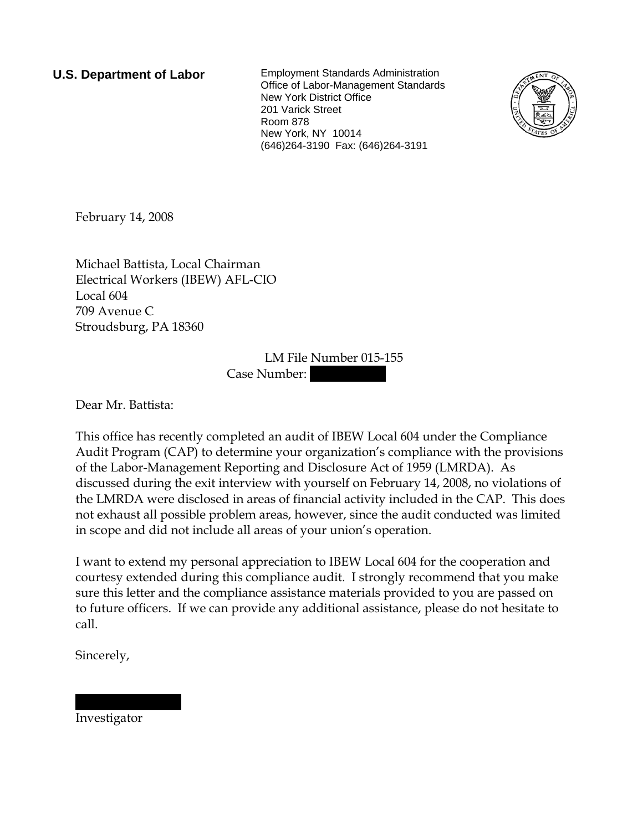**U.S. Department of Labor** Employment Standards Administration Office of Labor-Management Standards New York District Office 201 Varick Street Room 878 New York, NY 10014 (646)264-3190 Fax: (646)264-3191



February 14, 2008

Michael Battista, Local Chairman Electrical Workers (IBEW) AFL-CIO Local 604 709 Avenue C Stroudsburg, PA 18360

> LM File Number 015-155 Case Number:

Dear Mr. Battista:

This office has recently completed an audit of IBEW Local 604 under the Compliance Audit Program (CAP) to determine your organization's compliance with the provisions of the Labor-Management Reporting and Disclosure Act of 1959 (LMRDA). As discussed during the exit interview with yourself on February 14, 2008, no violations of the LMRDA were disclosed in areas of financial activity included in the CAP. This does not exhaust all possible problem areas, however, since the audit conducted was limited in scope and did not include all areas of your union's operation.

I want to extend my personal appreciation to IBEW Local 604 for the cooperation and courtesy extended during this compliance audit. I strongly recommend that you make sure this letter and the compliance assistance materials provided to you are passed on to future officers. If we can provide any additional assistance, please do not hesitate to call.

Sincerely,

Investigator

||||| || ||||||